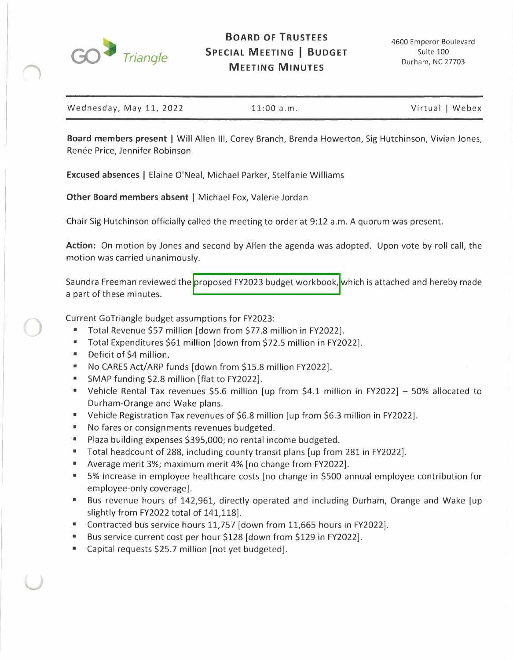

| Wednesday, May 11, 2022<br>Virtual   Webex<br>$11:00$ a.m. |
|------------------------------------------------------------|
|------------------------------------------------------------|

**Board members present** I Will Allen Ill, Corey Branch, Brenda Howerton, Sig Hutchinson, Vivian Jones, Renée Price, Jennifer Robinson

**Excused absences** I Elaine O'Neal, Michael Parker, Stelfanie Williams

**Other Board members absent** I Michael Fox, Valerie Jordan

Chair Sig Hutchinson officially called the meeting to order at 9:12 a.m. A quorum was present.

**Action:** On motion by Jones and second by Allen the agenda was adopted. Upon vote by roll call, the motion was carried unanimously.

Saundra Freeman reviewed the proposed FY2023 budget workbook, which is attached and hereby made a part of these minutes.

Current GoTriangle budget assumptions for FY2023:

- Total Revenue \$57 million [down from \$77.8 million in FY2022].
- Total Expenditures \$61 million [down from \$72.S million in FY2022].
- Deficit of \$4 million.
- No CARES Act/ARP funds [down from \$15.8 million FY2022].
- SMAP funding \$2.8 million [flat to FY2022].
- Vehicle Rental Tax revenues \$5.6 million [up from \$4.1 million in FY2022]  $-50\%$  allocated to Durham-Orange and Wake plans.
- Vehicle Registration Tax revenues of \$6.8 million [up from \$6.3 million in FY2022].
- No fares or consignments revenues budgeted.
- Plaza building expenses \$395,000; no rental income budgeted.
- Total headcount of 288, including county transit plans [up from 281 in FY2022].
- Average merit 3%; maximum merit 4% [no change from FY2022].
- 5% increase in employee healthcare costs [no change in \$500 annual employee contribution for employee-only coverage].
- Bus revenue hours of 142,961, directly operated and including Durham, Orange and Wake [up slightly from FY2022 total of 141,118].
- Contracted bus service hours 11,757 [down from 11,665 hours in FY2022].
- Bus service current cost per hour \$128 [down from \$129 in FY2022].
- Capital requests \$25.7 million [not yet budgeted].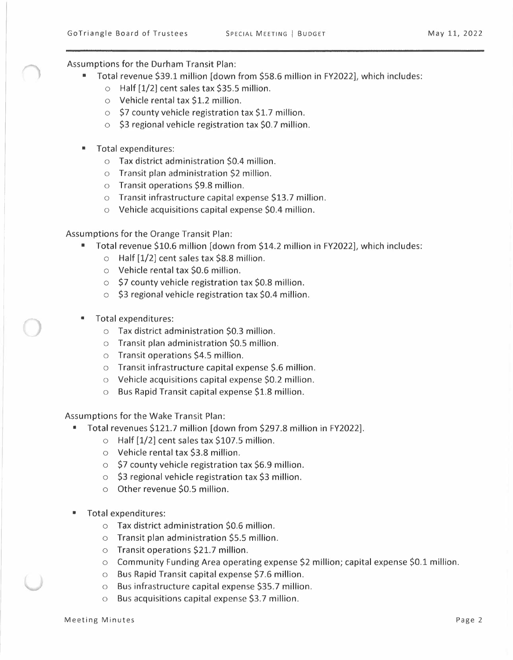Assumptions for the Durham Transit Plan:

- Total revenue \$39.1 million [down from \$58.6 million in FY2022], which includes:
	- o Half [1/2] cent sales tax \$35.5 million.
	- o Vehicle rental tax \$1.2 million.
	- $\circ$  \$7 county vehicle registration tax \$1.7 million.
	- $\circ$  \$3 regional vehicle registration tax \$0.7 million.
- Total expenditures:
	- o Tax district administration \$0.4 million.
	- o Transit plan administration \$2 million.
	- o Transit operations \$9.8 million.
	- o Transit infrastructure capital expense \$13.7 million.
	- o Vehicle acquisitions capital expense \$0.4 million.

Assumptions for the Orange Transit Plan:

- Total revenue \$10.6 million [down from \$14.2 million in FY2022], which includes:
	- $\circ$  Half [1/2] cent sales tax \$8.8 million.
	- o Vehicle rental tax \$0.6 million.
	- $\circ$  \$7 county vehicle registration tax \$0.8 million.
	- $\circ$  \$3 regional vehicle registration tax \$0.4 million.
- Total expenditures:
	- o Tax district administration \$0.3 million.
	- o Transit plan administration \$0.5 million.
	- o Transit operations \$4.5 million.
	- o Transit infrastructure capital expense \$.6 million.
	- o Vehicle acquisitions capital expense \$0.2 million.
	- o Bus Rapid Transit capital expense \$1.8 million.

Assumptions for the Wake Transit Plan:

- Total revenues \$121.7 million [down from \$297.8 million in FY2022].
	- $\circ$  Half [1/2] cent sales tax \$107.5 million.
	- o Vehicle rental tax \$3.8 million.
	- $\circ$  \$7 county vehicle registration tax \$6.9 million.
	- o \$3 regional vehicle registration tax \$3 million.
	- o Other revenue \$0.5 million.
- Total expenditures:
	- o Tax district administration \$0.6 million.
	- o Transit plan administration \$5.5 million.
	- o Transit operations \$21.7 million.
	- $\circ$  Community Funding Area operating expense \$2 million; capital expense \$0.1 million.
	- o Bus Rapid Transit capital expense \$7.6 million.
	- o Bus infrastructure capital expense \$35.7 million.
	- Bus acquisitions capital expense \$3.7 million.